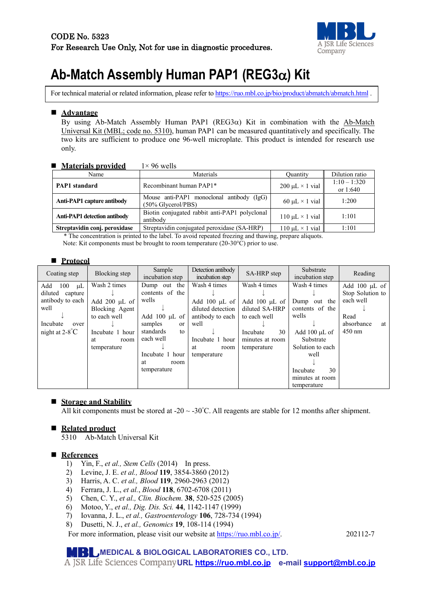

# **Ab-Match Assembly Human PAP1 (REG3**α**) Kit**

For technical material or related information, please refer t[o https://ruo.mbl.co.jp/bio/product/abmatch/abmatch.html](https://ruo.mbl.co.jp/bio/product/abmatch/abmatch.html) .

#### **Advantage**

By using Ab-Match Assembly Human PAP1 ( $REG3\alpha$ ) Kit in combination with the Ab-Match Universal Kit (MBL; code no. 5310), human PAP1 can be measured quantitatively and specifically. The two kits are sufficient to produce one 96-well microplate. This product is intended for research use only.

#### ■ **Materials provided** 1×96 wells

| Name                                | Materials                                                          | <b>Quantity</b>           | Dilution ratio             |
|-------------------------------------|--------------------------------------------------------------------|---------------------------|----------------------------|
| <b>PAP1</b> standard                | Recombinant human PAP1*                                            | $200 \mu L \times 1$ vial | $1:10 - 1:320$<br>or 1:640 |
| <b>Anti-PAP1</b> capture antibody   | Mouse anti-PAP1 monoclonal antibody (IgG)<br>$(50\%$ Glycerol/PBS) | 60 $\mu$ L × 1 vial       | 1:200                      |
| <b>Anti-PAP1</b> detection antibody | Biotin conjugated rabbit anti-PAP1 polyclonal<br>antibody          | 110 $\mu$ L × 1 vial      | 1:101                      |
| Streptavidin conj. peroxidase       | Streptavidin conjugated peroxidase (SA-HRP)                        | $110 \mu L \times 1$ vial | 1:101                      |

\* The concentration is printed to the label. To avoid repeated freezing and thawing, prepare aliquots.

Note: Kit components must be brought to room temperature (20-30°C) prior to use.

#### ■ Protocol

| Coating step                                                                                                         | Blocking step                                                                                                        | Sample<br>incubation step                                                                                                                     | Detection antibody<br>incubation step                                                                                               | SA-HRP step                                                                                                              | Substrate<br>incubation step                                                                                       | Reading                                                                                             |
|----------------------------------------------------------------------------------------------------------------------|----------------------------------------------------------------------------------------------------------------------|-----------------------------------------------------------------------------------------------------------------------------------------------|-------------------------------------------------------------------------------------------------------------------------------------|--------------------------------------------------------------------------------------------------------------------------|--------------------------------------------------------------------------------------------------------------------|-----------------------------------------------------------------------------------------------------|
| Add<br>100<br>$\mu$ L<br>diluted capture<br>antibody to each<br>well<br>Incubate<br>over<br>night at $2-8^{\circ}$ C | Wash 2 times<br>Add $200 \mu L$ of<br>Blocking Agent<br>to each well<br>Incubate 1 hour<br>room<br>at<br>temperature | Dump out the<br>contents of the<br>wells<br>Add $100 \mu L$ of<br>samples<br><sub>or</sub><br>standards<br>to<br>each well<br>Incubate 1 hour | Wash 4 times<br>Add $100 \mu L$ of<br>diluted detection<br>antibody to each<br>well<br>Incubate 1 hour<br>at<br>room<br>temperature | Wash 4 times<br>Add $100 \mu L$ of<br>diluted SA-HRP<br>to each well<br>30<br>Incubate<br>minutes at room<br>temperature | Wash 4 times<br>Dump out the<br>contents of the<br>wells<br>Add 100 µL of<br>Substrate<br>Solution to each<br>well | Add $100 \mu L$ of<br>Stop Solution to<br>each well<br>Read<br>absorbance<br>at<br>$450 \text{ nm}$ |
|                                                                                                                      |                                                                                                                      | at<br>room<br>temperature                                                                                                                     |                                                                                                                                     |                                                                                                                          | 30<br>Incubate<br>minutes at room<br>temperature                                                                   |                                                                                                     |

#### **Storage and Stability**

All kit components must be stored at -20  $\sim$  -30°C. All reagents are stable for 12 months after shipment.

#### ■ Related product

5310 Ab-Match Universal Kit

#### **References**

- 1) Yin, F., *et al., Stem Cells* (2014) In press.
- 2) Levine, J. E. *et al., Blood* **119**, 3854-3860 (2012)
- 3) Harris, A. C. *et al., Blood* **119**, 2960-2963 (2012)
- 4) Ferrara, J. L., *et al.*, *Blood* **118**, 6702-6708 (2011)
- 5) Chen, C. Y., *et al., Clin. Biochem.* **38**, 520-525 (2005)
- 6) Motoo, Y., *et al., Dig. Dis. Sci.* **44**, 1142-1147 (1999)
- 7) Iovanna, J. L., *et al., Gastroenterology* **106**, 728-734 (1994)
- 8) Dusetti, N. J., *et al., Genomics* **19**, 108-114 (1994)

For more information, please visit our website at [https://ruo.mbl.co.jp/.](https://ruo.mbl.co.jp/) 202112-7

#### **MEDICAL & BIOLOGICAL LABORATORIES CO., LTD.**

**URL [https://ruo.mbl.co.jp](https://ruo.mbl.co.jp/) e-mail [support@mbl.co.jp](mailto:support@mbl.co.jp)**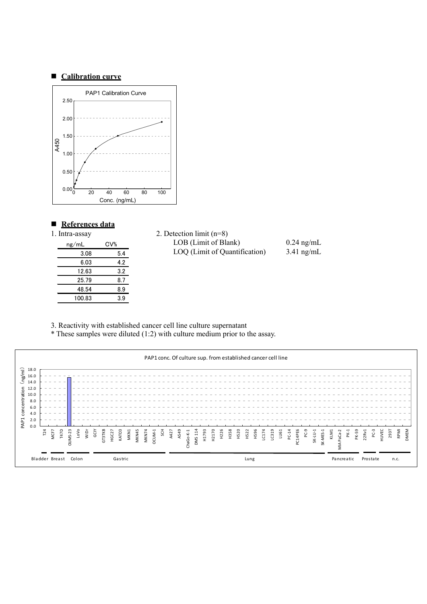#### **Calibration curve**



#### ■ References data

| 1. Intra-assay |                 | 2. Detection limit $(n=8)$ |
|----------------|-----------------|----------------------------|
| ng/mL          | CV <sub>0</sub> | LOB (Limit of Bla          |
| 3.08           | 5.4             | LOQ (Limit of Qu           |
| 6.03           | 4.2             |                            |
| 12.63          | 3.2             |                            |
| 25.79          | 8.7             |                            |
| 48.54          | 8.9             |                            |
| 100.83         | 3.9             |                            |
|                |                 |                            |

| 2. Detection limit $(n=8)$    |              |
|-------------------------------|--------------|
| LOB (Limit of Blank)          | $0.24$ ng/mL |
| LOQ (Limit of Quantification) | $3.41$ ng/mL |

3. Reactivity with established cancer cell line culture supernatant

\* These samples were diluted (1:2) with culture medium prior to the assay.

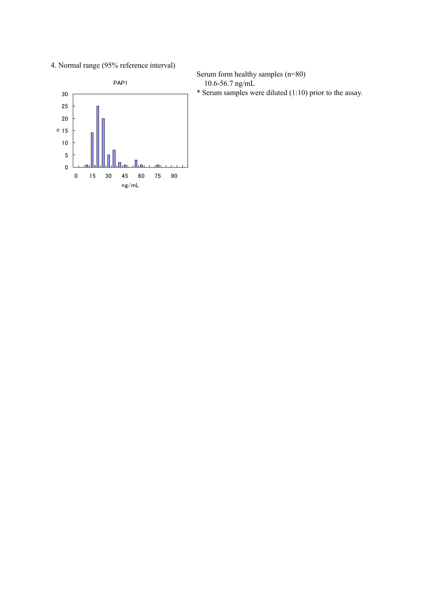4. Normal range (95% reference interval)



Serum form healthy samples (n=80) 10.6-56.7 ng/mL

\* Serum samples were diluted (1:10) prior to the assay.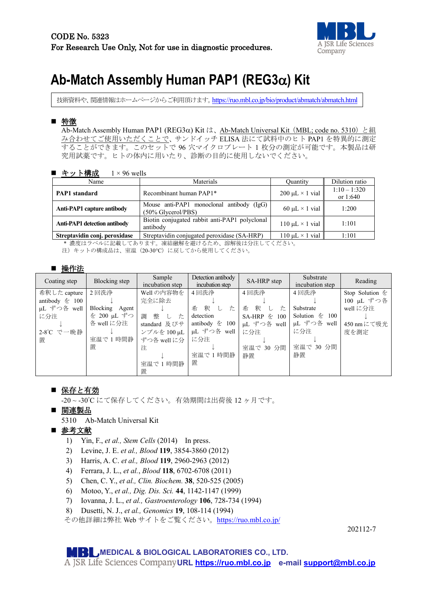

# **Ab-Match Assembly Human PAP1 (REG3**α**) Kit**

技術資料や、関連情報はホームページからご利用頂けます。<https://ruo.mbl.co.jp/bio/product/abmatch/abmatch.html>

## ■ 特徴

Ab-Match Assembly Human PAP1 (REG3α) Kit は、Ab-Match Universal Kit (MBL; code no. 5310) と組 み合わせてご使用いただくことで、サンドイッチ ELISA 法にて試料中のヒト PAP1 を特異的に測定 することができます。このセットで 96 穴マイクロプレート 1 枚分の測定が可能です。本製品は研 究用試薬です。ヒトの体内に用いたり、診断の目的に使用しないでください。

| ■ キット構成<br>$1 \times 96$ wells                                                                                           |                                                                    |                           |                              |  |  |
|--------------------------------------------------------------------------------------------------------------------------|--------------------------------------------------------------------|---------------------------|------------------------------|--|--|
| Name                                                                                                                     | Materials                                                          | Ouantity                  | Dilution ratio               |  |  |
| <b>PAP1</b> standard                                                                                                     | Recombinant human PAP1*                                            | $200 \mu L \times 1$ vial | $1:10 - 1:320$<br>or $1:640$ |  |  |
| Anti-PAP1 capture antibody                                                                                               | Mouse anti-PAP1 monoclonal antibody (IgG)<br>$(50\%$ Glycerol/PBS) | 60 $\mu$ L × 1 vial       | 1:200                        |  |  |
| Biotin conjugated rabbit anti-PAP1 polyclonal<br><b>Anti-PAP1</b> detection antibody<br>110 $\mu$ L × 1 vial<br>antibody |                                                                    | 1:101                     |                              |  |  |
| Streptavidin conj. peroxidase<br>Streptavidin conjugated peroxidase (SA-HRP)<br>110 $\mu$ L × 1 vial<br>1:101            |                                                                    |                           |                              |  |  |

\* 濃度はラベルに記載してあります。凍結融解を避けるため、溶解後は分注してください。

注)キットの構成品は、室温(20-30℃)に戻してから使用してください。

#### ■ 操作法

| Coating step      | Blocking step  | Sample<br>incubation step   | Detection antibody<br>incubation step | SA-HRP step     | Substrate<br>incubation step | Reading            |
|-------------------|----------------|-----------------------------|---------------------------------------|-----------------|------------------------------|--------------------|
| 希釈した capture      | 2 回洗浄          | Well の内容物を                  | 4回洗浄                                  | 4回洗浄            | 4回洗浄                         | Stop Solution $\&$ |
| antibody $\&$ 100 |                | 完全に除去                       |                                       |                 |                              | 100 µL ずつ各         |
| μL ずつ各 well       | Blocking Agent |                             | 釈<br>希<br>た<br>└                      | 釈<br>希<br>た     | Substrate                    | well に分注           |
| に分注               | を 200 µL ずつ    | 整<br>調<br>た<br>$\mathbb{L}$ | detection                             | SA-HRP を<br>100 | Solution $\&$ 100            |                    |
|                   | 各 well に分注     | standard 及びサ                | antibody $\&$ 100                     | µL ずつ各 well丨    | μL ずつ各 well                  | 450 nm にて吸光        |
| 2-8℃ で一晩静         |                | ンプルを 100 µL                 | μL ずつ各 well                           | に分注             | に分注                          | 度を測定               |
| 置                 | 室温で1時間静        | ずつ各 well に分                 | に分注                                   |                 |                              |                    |
|                   | 置              | 注                           |                                       | 室温で 30 分間       | 室温で 30 分間                    |                    |
|                   |                |                             | 室温で1時間静                               | 静置              | 静置                           |                    |
|                   |                | 室温で1時間静                     | 置                                     |                 |                              |                    |
|                   |                | 置                           |                                       |                 |                              |                    |

### ■ 保存と有効

-20 ~ -30° C にて保存してください。有効期間は出荷後 12 ヶ月です。

■ 関連製品

5310 Ab-Match Universal Kit

### ■ 参考文献

- 1) Yin, F., *et al., Stem Cells* (2014) In press.
- 2) Levine, J. E. *et al., Blood* **119**, 3854-3860 (2012)
- 3) Harris, A. C. *et al., Blood* **119**, 2960-2963 (2012)
- 4) Ferrara, J. L., *et al.*, *Blood* **118**, 6702-6708 (2011)
- 5) Chen, C. Y., *et al., Clin. Biochem.* **38**, 520-525 (2005)
- 6) Motoo, Y., *et al., Dig. Dis. Sci.* **44**, 1142-1147 (1999)
- 7) Iovanna, J. L., *et al., Gastroenterology* **106**, 728-734 (1994)
- 8) Dusetti, N. J., *et al., Genomics* **19**, 108-114 (1994)

その他詳細は弊社 Web サイトをご覧ください。<https://ruo.mbl.co.jp/>

202112-7

**MEDICAL & BIOLOGICAL LABORATORIES CO., LTD.**

**URL [https://ruo.mbl.co.jp](https://ruo.mbl.co.jp/) e-mail [support@mbl.co.jp](mailto:support@mbl.co.jp)**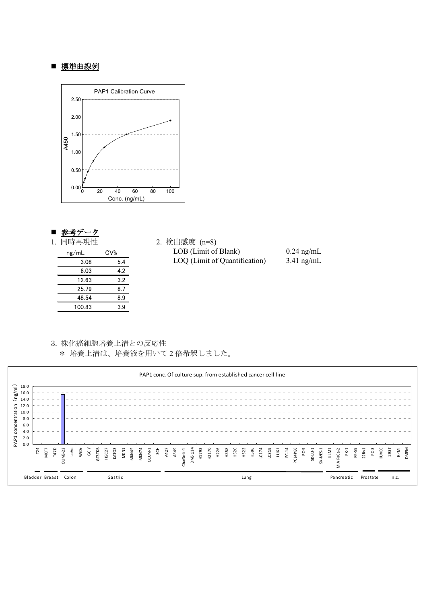#### ■ 標準曲線例



#### 参考データ

| 同時再現性<br>1. |  |
|-------------|--|
|-------------|--|

| ng/mL  | CV <sub>0</sub> |
|--------|-----------------|
| 3.08   | 5.4             |
| 6.03   | 4.2             |
| 12.63  | 3.2             |
| 25.79  | 8.7             |
| 48.54  | 8.9             |
| 100.83 | 3.9             |

2. 検出感度 (n=8) LOB (Limit of Blank) 0.24 ng/mL LOQ (Limit of Quantification) 3.41 ng/mL

3. 株化癌細胞培養上清との反応性 \* 培養上清は、培養液を用いて 2 倍希釈しました。